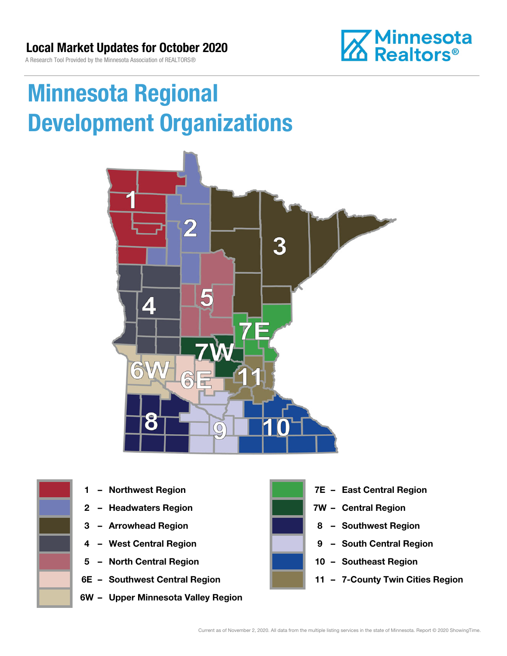

# Minnesota Regional Development Organizations





- 
- 
- 
- 
- 5 North Central Region 10 Southeast Region
- 
- 6W Upper Minnesota Valley Region



- 1 Northwest Region **1 1999 12 Property Contral Region**
- 2 Headwaters Region **1988 7W Central Region**
- 3 Arrowhead Region **8 Southwest Region**
- 4 West Central Region **19 South Central Region** 
	-
- 6E Southwest Central Region **11 7-County Twin Cities Region**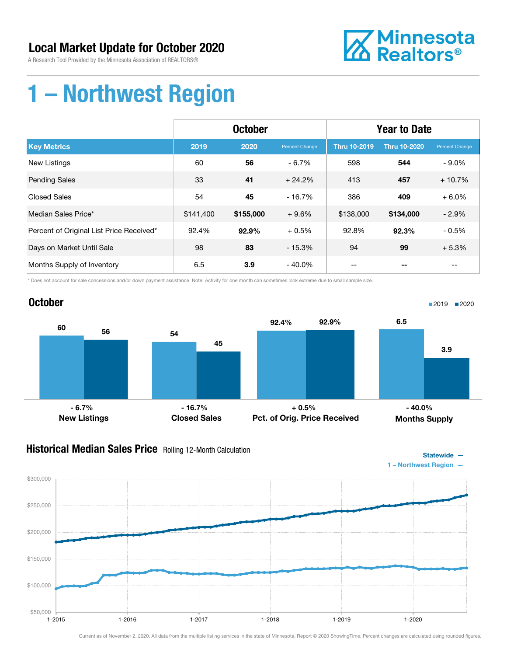A Research Tool Provided by the Minnesota Association of REALTORS®



### 1 – Northwest Region

|                                          | <b>October</b> |           |                | <b>Year to Date</b> |                     |                |
|------------------------------------------|----------------|-----------|----------------|---------------------|---------------------|----------------|
| <b>Key Metrics</b>                       | 2019           | 2020      | Percent Change | <b>Thru 10-2019</b> | <b>Thru 10-2020</b> | Percent Change |
| <b>New Listings</b>                      | 60             | 56        | $-6.7%$        | 598                 | 544                 | $-9.0\%$       |
| <b>Pending Sales</b>                     | 33             | 41        | $+24.2%$       | 413                 | 457                 | $+10.7%$       |
| <b>Closed Sales</b>                      | 54             | 45        | $-16.7%$       | 386                 | 409                 | $+6.0%$        |
| Median Sales Price*                      | \$141,400      | \$155,000 | $+9.6%$        | \$138,000           | \$134,000           | $-2.9%$        |
| Percent of Original List Price Received* | 92.4%          | 92.9%     | $+0.5%$        | 92.8%               | 92.3%               | $-0.5%$        |
| Days on Market Until Sale                | 98             | 83        | $-15.3%$       | 94                  | 99                  | $+5.3%$        |
| Months Supply of Inventory               | 6.5            | 3.9       | $-40.0\%$      |                     |                     |                |

\* Does not account for sale concessions and/or down payment assistance. Note: Activity for one month can sometimes look extreme due to small sample size.



#### **Historical Median Sales Price** Rolling 12-Month Calculation



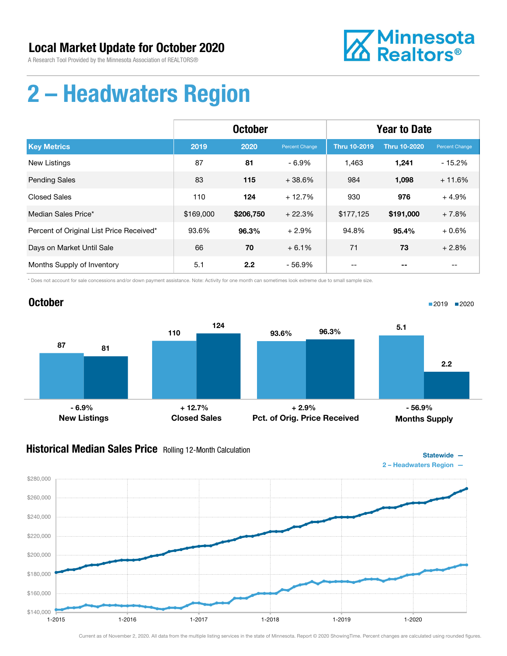**October** 



Statewide —

■2019 ■2020

### 2 – Headwaters Region

|                                          | <b>October</b> |           |                | <b>Year to Date</b> |                     |                |
|------------------------------------------|----------------|-----------|----------------|---------------------|---------------------|----------------|
| <b>Key Metrics</b>                       | 2019           | 2020      | Percent Change | <b>Thru 10-2019</b> | <b>Thru 10-2020</b> | Percent Change |
| <b>New Listings</b>                      | 87             | 81        | $-6.9%$        | 1,463               | 1,241               | $-15.2%$       |
| <b>Pending Sales</b>                     | 83             | 115       | $+38.6%$       | 984                 | 1,098               | $+11.6%$       |
| <b>Closed Sales</b>                      | 110            | 124       | $+12.7%$       | 930                 | 976                 | $+4.9%$        |
| Median Sales Price*                      | \$169,000      | \$206,750 | $+22.3%$       | \$177,125           | \$191,000           | $+7.8%$        |
| Percent of Original List Price Received* | 93.6%          | 96.3%     | $+2.9%$        | 94.8%               | 95.4%               | $+0.6%$        |
| Days on Market Until Sale                | 66             | 70        | $+6.1%$        | 71                  | 73                  | $+2.8%$        |
| Months Supply of Inventory               | 5.1            | 2.2       | $-56.9%$       |                     |                     |                |

\* Does not account for sale concessions and/or down payment assistance. Note: Activity for one month can sometimes look extreme due to small sample size.

#### 87 110 81 124 New Listings Closed Sales 93.6% 96.3% Pct. of Orig. Price Received 5.1 2.2 Months Supply - 6.9% + 12.7% + 2.9% - 56.9%

#### **Historical Median Sales Price** Rolling 12-Month Calculation

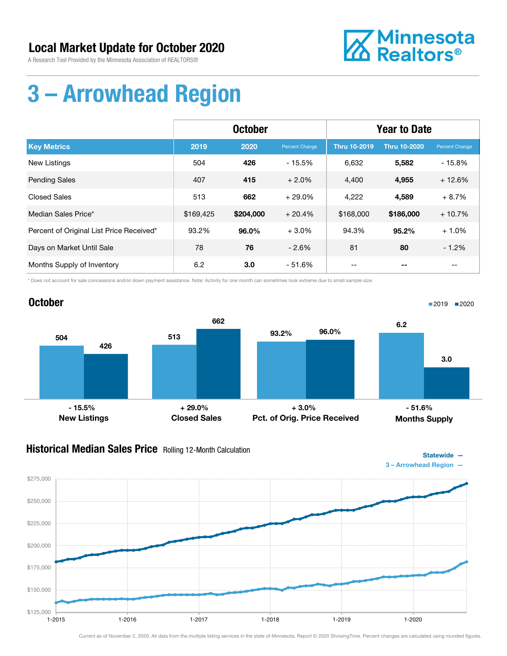A Research Tool Provided by the Minnesota Association of REALTORS®



## 3 – Arrowhead Region

|                                          | <b>October</b> |           |                       | <b>Year to Date</b> |                     |                |
|------------------------------------------|----------------|-----------|-----------------------|---------------------|---------------------|----------------|
| <b>Key Metrics</b>                       | 2019           | 2020      | <b>Percent Change</b> | <b>Thru 10-2019</b> | <b>Thru 10-2020</b> | Percent Change |
| <b>New Listings</b>                      | 504            | 426       | $-15.5%$              | 6,632               | 5,582               | $-15.8%$       |
| <b>Pending Sales</b>                     | 407            | 415       | $+2.0%$               | 4,400               | 4,955               | $+12.6%$       |
| Closed Sales                             | 513            | 662       | $+29.0%$              | 4,222               | 4,589               | $+8.7%$        |
| Median Sales Price*                      | \$169,425      | \$204,000 | $+20.4%$              | \$168,000           | \$186,000           | $+10.7%$       |
| Percent of Original List Price Received* | 93.2%          | 96.0%     | $+3.0%$               | 94.3%               | 95.2%               | $+1.0%$        |
| Days on Market Until Sale                | 78             | 76        | $-2.6%$               | 81                  | 80                  | $-1.2%$        |
| Months Supply of Inventory               | 6.2            | 3.0       | - 51.6%               |                     |                     | $- -$          |

\* Does not account for sale concessions and/or down payment assistance. Note: Activity for one month can sometimes look extreme due to small sample size.



#### **Historical Median Sales Price** Rolling 12-Month Calculation



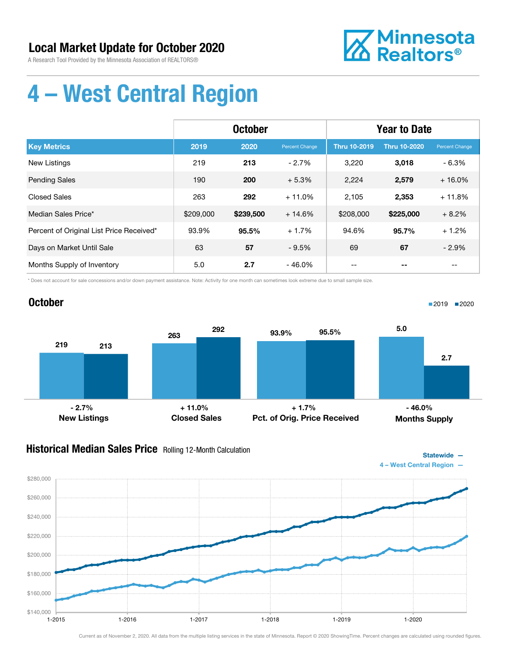A Research Tool Provided by the Minnesota Association of REALTORS®



Statewide —

■2019 ■2020

# 4 – West Central Region

|                                          | <b>October</b> |           |                | <b>Year to Date</b> |                     |                |
|------------------------------------------|----------------|-----------|----------------|---------------------|---------------------|----------------|
| <b>Key Metrics</b>                       | 2019           | 2020      | Percent Change | <b>Thru 10-2019</b> | <b>Thru 10-2020</b> | Percent Change |
| <b>New Listings</b>                      | 219            | 213       | $-2.7%$        | 3,220               | 3,018               | $-6.3%$        |
| <b>Pending Sales</b>                     | 190            | 200       | $+5.3%$        | 2,224               | 2,579               | $+16.0%$       |
| <b>Closed Sales</b>                      | 263            | 292       | $+11.0%$       | 2,105               | 2,353               | $+11.8%$       |
| Median Sales Price*                      | \$209,000      | \$239,500 | $+14.6%$       | \$208,000           | \$225,000           | $+8.2%$        |
| Percent of Original List Price Received* | 93.9%          | 95.5%     | $+1.7%$        | 94.6%               | 95.7%               | $+1.2%$        |
| Days on Market Until Sale                | 63             | 57        | $-9.5%$        | 69                  | 67                  | $-2.9%$        |
| Months Supply of Inventory               | 5.0            | 2.7       | $-46.0%$       |                     |                     |                |

\* Does not account for sale concessions and/or down payment assistance. Note: Activity for one month can sometimes look extreme due to small sample size.

### **October**



### Historical Median Sales Price Rolling 12-Month Calculation

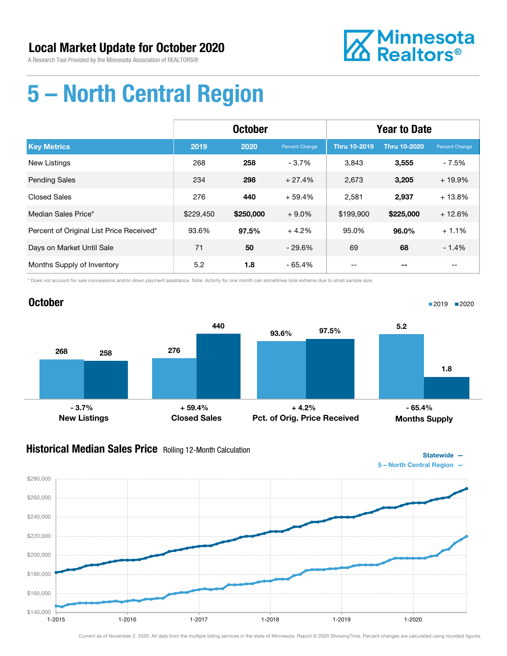October



# 5 – North Central Region

|                                          | <b>October</b> |           |                | <b>Year to Date</b> |                     |                |
|------------------------------------------|----------------|-----------|----------------|---------------------|---------------------|----------------|
| <b>Key Metrics</b>                       | 2019           | 2020      | Percent Change | <b>Thru 10-2019</b> | <b>Thru 10-2020</b> | Percent Change |
| <b>New Listings</b>                      | 268            | 258       | $-3.7%$        | 3.843               | 3,555               | $-7.5%$        |
| <b>Pending Sales</b>                     | 234            | 298       | $+27.4%$       | 2,673               | 3,205               | $+19.9%$       |
| <b>Closed Sales</b>                      | 276            | 440       | $+59.4%$       | 2,581               | 2,937               | $+13.8%$       |
| Median Sales Price*                      | \$229,450      | \$250,000 | $+9.0\%$       | \$199,900           | \$225,000           | $+12.6%$       |
| Percent of Original List Price Received* | 93.6%          | 97.5%     | $+4.2%$        | 95.0%               | 96.0%               | $+1.1%$        |
| Days on Market Until Sale                | 71             | 50        | $-29.6%$       | 69                  | 68                  | $-1.4%$        |
| Months Supply of Inventory               | 5.2            | 1.8       | $-65.4%$       | --                  |                     | --             |

\* Does not account for sale concessions and/or down payment assistance. Note: Activity for one month can sometimes look extreme due to small sample size.

#### 268 276 258 440 New Listings Closed Sales 93.6% 97.5% Pct. of Orig. Price Received 5.2 1.8 Months Supply  $-3.7\%$  - 3.7% + 59.4% + 59.4% + 4.2% + 4.2% + 65.4%

#### **Historical Median Sales Price** Rolling 12-Month Calculation



■2019 2020

Statewide —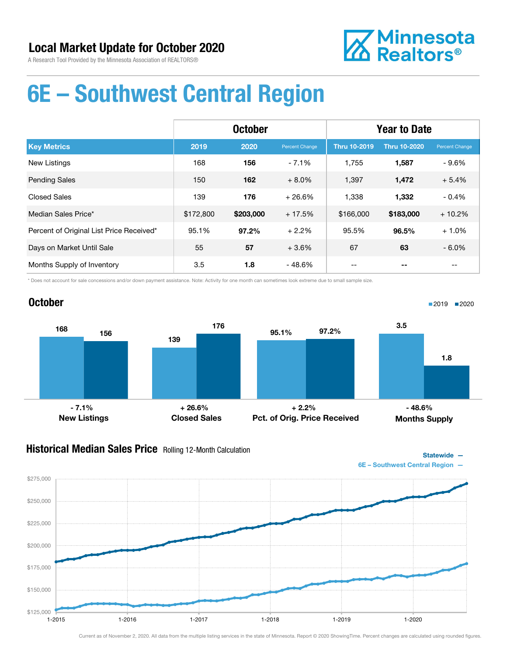

### 6E – Southwest Central Region

|                                          | <b>October</b> |           |                | <b>Year to Date</b> |                     |                |
|------------------------------------------|----------------|-----------|----------------|---------------------|---------------------|----------------|
| <b>Key Metrics</b>                       | 2019           | 2020      | Percent Change | <b>Thru 10-2019</b> | <b>Thru 10-2020</b> | Percent Change |
| <b>New Listings</b>                      | 168            | 156       | $-7.1%$        | 1,755               | 1,587               | $-9.6%$        |
| <b>Pending Sales</b>                     | 150            | 162       | $+8.0\%$       | 1,397               | 1,472               | $+5.4%$        |
| <b>Closed Sales</b>                      | 139            | 176       | $+26.6%$       | 1,338               | 1,332               | $-0.4%$        |
| Median Sales Price*                      | \$172,800      | \$203,000 | $+17.5%$       | \$166,000           | \$183,000           | $+10.2%$       |
| Percent of Original List Price Received* | 95.1%          | 97.2%     | $+2.2%$        | 95.5%               | 96.5%               | $+1.0%$        |
| Days on Market Until Sale                | 55             | 57        | $+3.6%$        | 67                  | 63                  | $-6.0\%$       |
| Months Supply of Inventory               | 3.5            | 1.8       | $-48.6%$       |                     |                     |                |

\* Does not account for sale concessions and/or down payment assistance. Note: Activity for one month can sometimes look extreme due to small sample size.

### October



#### **Historical Median Sales Price** Rolling 12-Month Calculation

Statewide — 6E – Southwest Central Region —

■2019 2020

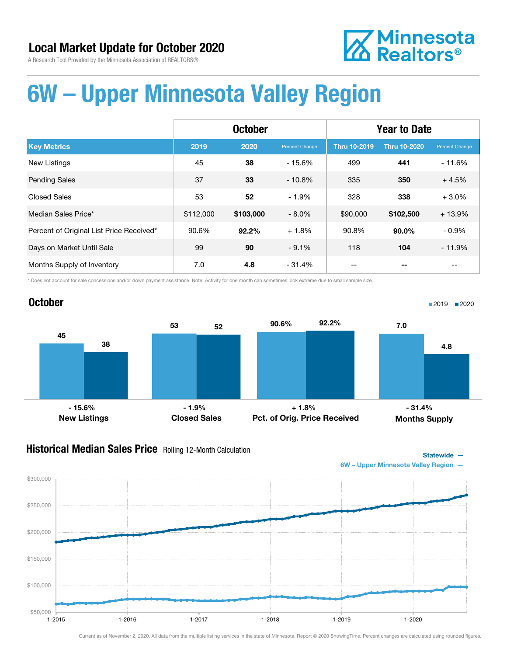# **Z** Minnesota<br>**ZA** Realtors<sup>®</sup>

# 6W – Upper Minnesota Valley Region

|                                          | <b>October</b> |           |                | <b>Year to Date</b> |                     |                |
|------------------------------------------|----------------|-----------|----------------|---------------------|---------------------|----------------|
| <b>Key Metrics</b>                       | 2019           | 2020      | Percent Change | <b>Thru 10-2019</b> | <b>Thru 10-2020</b> | Percent Change |
| <b>New Listings</b>                      | 45             | 38        | $-15.6%$       | 499                 | 441                 | $-11.6%$       |
| <b>Pending Sales</b>                     | 37             | 33        | $-10.8%$       | 335                 | 350                 | $+4.5%$        |
| <b>Closed Sales</b>                      | 53             | 52        | $-1.9%$        | 328                 | 338                 | $+3.0%$        |
| Median Sales Price*                      | \$112,000      | \$103,000 | $-8.0\%$       | \$90,000            | \$102,500           | $+13.9%$       |
| Percent of Original List Price Received* | 90.6%          | 92.2%     | $+1.8%$        | 90.8%               | 90.0%               | $-0.9%$        |
| Days on Market Until Sale                | 99             | 90        | $-9.1%$        | 118                 | 104                 | $-11.9%$       |
| Months Supply of Inventory               | 7.0            | 4.8       | - 31.4%        |                     |                     |                |

\* Does not account for sale concessions and/or down payment assistance. Note: Activity for one month can sometimes look extreme due to small sample size.



#### **Historical Median Sales Price** Rolling 12-Month Calculation



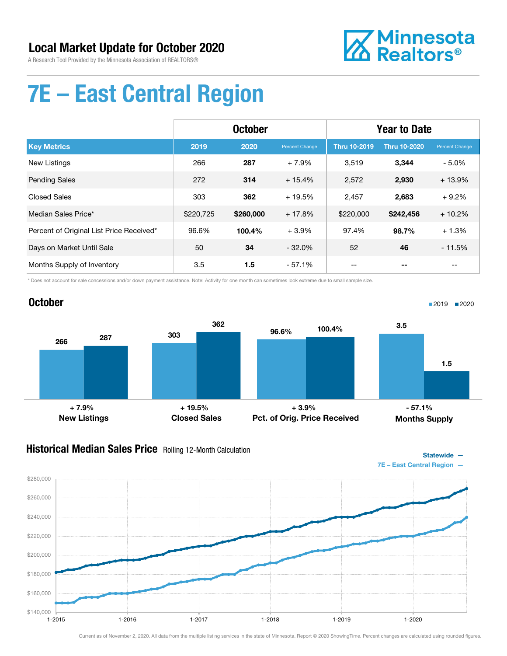

# 7E – East Central Region

|                                          | <b>October</b> |           |                | <b>Year to Date</b> |                     |                |
|------------------------------------------|----------------|-----------|----------------|---------------------|---------------------|----------------|
| <b>Key Metrics</b>                       | 2019           | 2020      | Percent Change | <b>Thru 10-2019</b> | <b>Thru 10-2020</b> | Percent Change |
| <b>New Listings</b>                      | 266            | 287       | $+7.9%$        | 3,519               | 3,344               | $-5.0\%$       |
| <b>Pending Sales</b>                     | 272            | 314       | $+15.4%$       | 2,572               | 2,930               | $+13.9%$       |
| <b>Closed Sales</b>                      | 303            | 362       | $+19.5%$       | 2,457               | 2,683               | $+9.2%$        |
| Median Sales Price*                      | \$220,725      | \$260,000 | $+17.8%$       | \$220,000           | \$242,456           | $+10.2%$       |
| Percent of Original List Price Received* | 96.6%          | 100.4%    | $+3.9%$        | 97.4%               | 98.7%               | $+1.3%$        |
| Days on Market Until Sale                | 50             | 34        | $-32.0%$       | 52                  | 46                  | $-11.5%$       |
| Months Supply of Inventory               | 3.5            | 1.5       | $-57.1%$       |                     |                     |                |

\* Does not account for sale concessions and/or down payment assistance. Note: Activity for one month can sometimes look extreme due to small sample size.

### October 266 303 287 362 96.6% 100.4%

New Listings Closed Sales  $+ 7.9\%$  - 57.1% + 19.5% + 3.9% + 3.9% + 57.1%

#### **Historical Median Sales Price** Rolling 12-Month Calculation



■2019 2020

1.5

Months Supply

3.5

Pct. of Orig. Price Received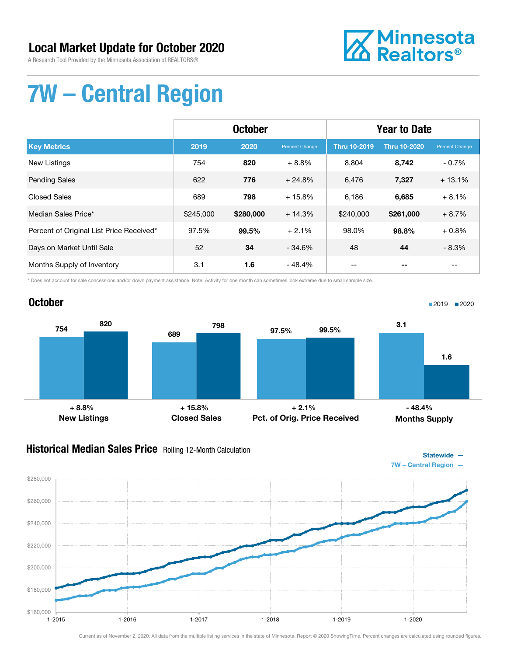A Research Tool Provided by the Minnesota Association of REALTORS®



# 7W – Central Region

|                                          | <b>October</b> |           |                | <b>Year to Date</b> |                     |                |
|------------------------------------------|----------------|-----------|----------------|---------------------|---------------------|----------------|
| <b>Key Metrics</b>                       | 2019           | 2020      | Percent Change | <b>Thru 10-2019</b> | <b>Thru 10-2020</b> | Percent Change |
| New Listings                             | 754            | 820       | $+8.8%$        | 8,804               | 8,742               | $-0.7%$        |
| <b>Pending Sales</b>                     | 622            | 776       | $+24.8%$       | 6,476               | 7,327               | $+13.1%$       |
| <b>Closed Sales</b>                      | 689            | 798       | $+15.8%$       | 6,186               | 6,685               | $+8.1%$        |
| Median Sales Price*                      | \$245,000      | \$280,000 | $+14.3%$       | \$240,000           | \$261,000           | $+8.7%$        |
| Percent of Original List Price Received* | 97.5%          | 99.5%     | $+2.1%$        | 98.0%               | 98.8%               | $+0.8%$        |
| Days on Market Until Sale                | 52             | 34        | $-34.6%$       | 48                  | 44                  | $-8.3%$        |
| Months Supply of Inventory               | 3.1            | 1.6       | $-48.4%$       |                     |                     |                |

\* Does not account for sale concessions and/or down payment assistance. Note: Activity for one month can sometimes look extreme due to small sample size.

#### October



#### **Historical Median Sales Price** Rolling 12-Month Calculation



■2019 2020

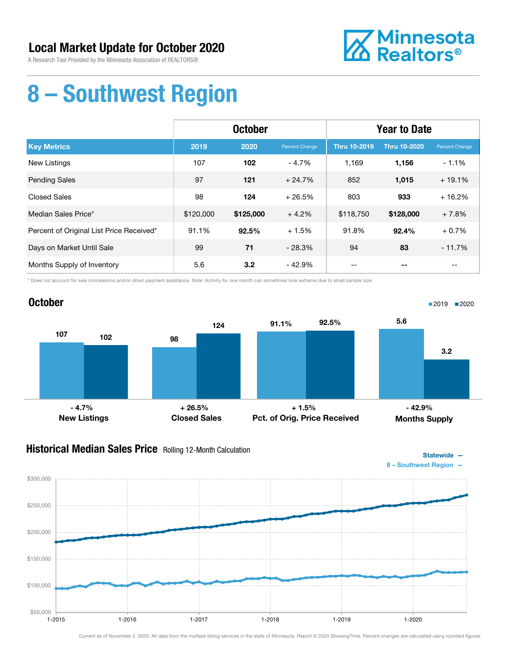A Research Tool Provided by the Minnesota Association of REALTORS®



### 8 – Southwest Region

|                                          | <b>October</b> |           |                | <b>Year to Date</b> |                     |                |
|------------------------------------------|----------------|-----------|----------------|---------------------|---------------------|----------------|
| <b>Key Metrics</b>                       | 2019           | 2020      | Percent Change | <b>Thru 10-2019</b> | <b>Thru 10-2020</b> | Percent Change |
| <b>New Listings</b>                      | 107            | 102       | $-4.7%$        | 1.169               | 1,156               | $-1.1%$        |
| <b>Pending Sales</b>                     | 97             | 121       | $+24.7%$       | 852                 | 1,015               | $+19.1%$       |
| <b>Closed Sales</b>                      | 98             | 124       | $+26.5%$       | 803                 | 933                 | $+16.2%$       |
| Median Sales Price*                      | \$120,000      | \$125,000 | $+4.2%$        | \$118,750           | \$128,000           | $+7.8%$        |
| Percent of Original List Price Received* | 91.1%          | 92.5%     | $+1.5%$        | 91.8%               | 92.4%               | $+0.7%$        |
| Days on Market Until Sale                | 99             | 71        | $-28.3%$       | 94                  | 83                  | $-11.7%$       |
| Months Supply of Inventory               | 5.6            | 3.2       | $-42.9%$       | --                  |                     | $- -$          |

\* Does not account for sale concessions and/or down payment assistance. Note: Activity for one month can sometimes look extreme due to small sample size.



#### **Historical Median Sales Price** Rolling 12-Month Calculation



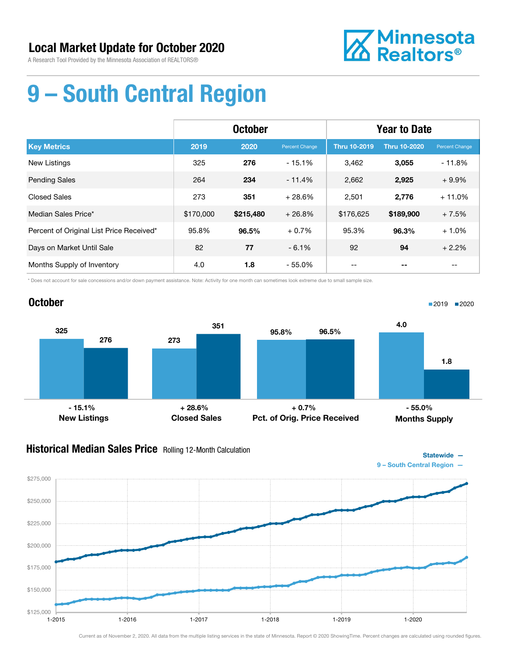

# 9 – South Central Region

|                                          | <b>October</b> |           |                | <b>Year to Date</b> |                     |                |
|------------------------------------------|----------------|-----------|----------------|---------------------|---------------------|----------------|
| <b>Key Metrics</b>                       | 2019           | 2020      | Percent Change | <b>Thru 10-2019</b> | <b>Thru 10-2020</b> | Percent Change |
| <b>New Listings</b>                      | 325            | 276       | $-15.1%$       | 3,462               | 3,055               | $-11.8%$       |
| <b>Pending Sales</b>                     | 264            | 234       | $-11.4%$       | 2,662               | 2,925               | $+9.9%$        |
| <b>Closed Sales</b>                      | 273            | 351       | $+28.6%$       | 2,501               | 2,776               | $+11.0%$       |
| Median Sales Price*                      | \$170,000      | \$215,480 | $+26.8%$       | \$176,625           | \$189,900           | $+7.5%$        |
| Percent of Original List Price Received* | 95.8%          | 96.5%     | $+0.7%$        | 95.3%               | 96.3%               | $+1.0%$        |
| Days on Market Until Sale                | 82             | 77        | $-6.1%$        | 92                  | 94                  | $+2.2%$        |
| Months Supply of Inventory               | 4.0            | 1.8       | $-55.0%$       | --                  |                     | --             |

\* Does not account for sale concessions and/or down payment assistance. Note: Activity for one month can sometimes look extreme due to small sample size.

#### October 325 276 273 351 New Listings Closed Sales 95.8% 96.5% Pct. of Orig. Price Received 4.0 1.8 Months Supply ■2019 2020  $-15.1\%$  - 15.1% - 55.0% + 28.6% - 55.0% + 0.7% - 55.0% - 55.0%

### **Historical Median Sales Price** Rolling 12-Month Calculation

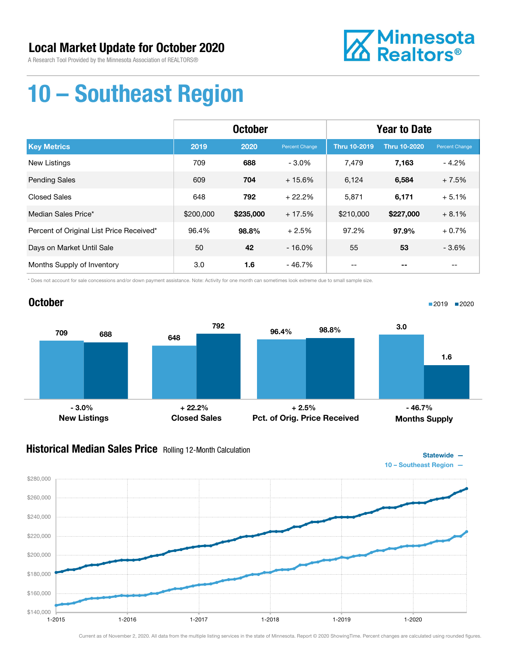

# 10 – Southeast Region

|                                          | <b>October</b> |           |                | <b>Year to Date</b> |                     |                |
|------------------------------------------|----------------|-----------|----------------|---------------------|---------------------|----------------|
| <b>Key Metrics</b>                       | 2019           | 2020      | Percent Change | <b>Thru 10-2019</b> | <b>Thru 10-2020</b> | Percent Change |
| New Listings                             | 709            | 688       | $-3.0%$        | 7,479               | 7,163               | $-4.2%$        |
| <b>Pending Sales</b>                     | 609            | 704       | $+15.6%$       | 6,124               | 6,584               | $+7.5%$        |
| <b>Closed Sales</b>                      | 648            | 792       | $+22.2%$       | 5,871               | 6,171               | $+5.1%$        |
| Median Sales Price*                      | \$200,000      | \$235,000 | $+17.5%$       | \$210,000           | \$227,000           | $+8.1%$        |
| Percent of Original List Price Received* | 96.4%          | 98.8%     | $+2.5%$        | 97.2%               | 97.9%               | $+0.7%$        |
| Days on Market Until Sale                | 50             | 42        | $-16.0%$       | 55                  | 53                  | $-3.6%$        |
| Months Supply of Inventory               | 3.0            | 1.6       | $-46.7%$       | --                  | --                  | $- -$          |

\* Does not account for sale concessions and/or down payment assistance. Note: Activity for one month can sometimes look extreme due to small sample size.

### October <sup>709</sup> <sup>648</sup> <sup>688</sup> 792 96.4% 98.8% 3.0  $-3.0\%$  - 3.0% + 22.2% + 2.5% - 46.7%

### Historical Median Sales Price Rolling 12-Month Calculation

New Listings Closed Sales



■2019 ■2020

1.6

Statewide —

Months Supply

Pct. of Orig. Price Received